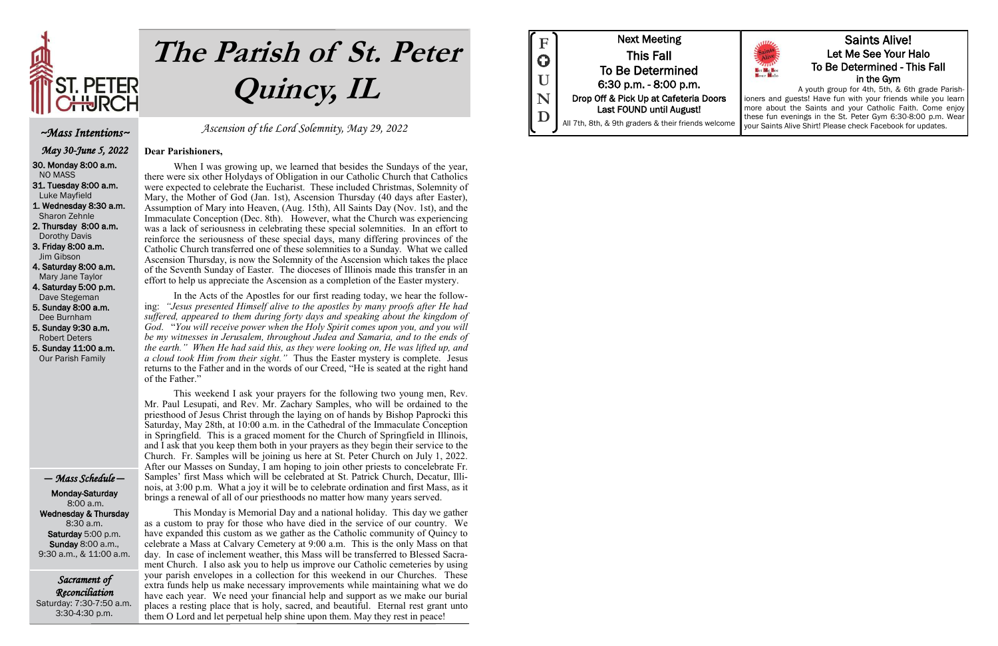

# **The Parish of St. Peter Quincy, IL**

Sacrament of Reconciliation Saturday: 7:30-7:50 a.m. 3:30-4:30 p.m.

# Ascension of the Lord Solemnity, May 29, 2022

# **Dear Parishioners,**

When I was growing up, we learned that besides the Sundays of the year, there were six other Holydays of Obligation in our Catholic Church that Catholics were expected to celebrate the Eucharist. These included Christmas, Solemnity of Mary, the Mother of God (Jan. 1st), Ascension Thursday (40 days after Easter), Assumption of Mary into Heaven, (Aug. 15th), All Saints Day (Nov. 1st), and the Immaculate Conception (Dec. 8th). However, what the Church was experiencing was a lack of seriousness in celebrating these special solemnities. In an effort to reinforce the seriousness of these special days, many differing provinces of the Catholic Church transferred one of these solemnities to a Sunday. What we called Ascension Thursday, is now the Solemnity of the Ascension which takes the place of the Seventh Sunday of Easter. The dioceses of Illinois made this transfer in an effort to help us appreciate the Ascension as a completion of the Easter mystery.

In the Acts of the Apostles for our first reading today, we hear the following: *"Jesus presented Himself alive to the apostles by many proofs after He had suffered, appeared to them during forty days and speaking about the kingdom of God*. "*You will receive power when the Holy Spirit comes upon you, and you will be my witnesses in Jerusalem, throughout Judea and Samaria, and to the ends of the earth." When He had said this, as they were looking on, He was lifted up, and a cloud took Him from their sight."* Thus the Easter mystery is complete. Jesus returns to the Father and in the words of our Creed, "He is seated at the right hand of the Father."

This weekend I ask your prayers for the following two young men, Rev. Mr. Paul Lesupati, and Rev. Mr. Zachary Samples, who will be ordained to the priesthood of Jesus Christ through the laying on of hands by Bishop Paprocki this Saturday, May 28th, at 10:00 a.m. in the Cathedral of the Immaculate Conception in Springfield. This is a graced moment for the Church of Springfield in Illinois, and I ask that you keep them both in your prayers as they begin their service to the Church. Fr. Samples will be joining us here at St. Peter Church on July 1, 2022. After our Masses on Sunday, I am hoping to join other priests to concelebrate Fr. Samples' first Mass which will be celebrated at St. Patrick Church, Decatur, Illinois, at 3:00 p.m. What a joy it will be to celebrate ordination and first Mass, as it brings a renewal of all of our priesthoods no matter how many years served.

This Monday is Memorial Day and a national holiday. This day we gather as a custom to pray for those who have died in the service of our country. We have expanded this custom as we gather as the Catholic community of Quincy to celebrate a Mass at Calvary Cemetery at 9:00 a.m. This is the only Mass on that day. In case of inclement weather, this Mass will be transferred to Blessed Sacrament Church. I also ask you to help us improve our Catholic cemeteries by using your parish envelopes in a collection for this weekend in our Churches. These extra funds help us make necessary improvements while maintaining what we do have each year. We need your financial help and support as we make our burial places a resting place that is holy, sacred, and beautiful. Eternal rest grant unto them O Lord and let perpetual help shine upon them. May they rest in peace!



# ~Mass Intentions~

May 30-June 5, 2022

30. Monday 8:00 a.m. NO MASS

31. Tuesday 8:00 a.m. Luke Mayfield

1. Wednesday 8:30 a.m. Sharon Zehnle

2. Thursday 8:00 a.m. Dorothy Davis

3. Friday 8:00 a.m. Jim Gibson

4. Saturday 8:00 a.m. Mary Jane Taylor

4. Saturday 5:00 p.m. Dave Stegeman

5. Sunday 8:00 a.m. Dee Burnham

5. Sunday 9:30 a.m. Robert Deters 5. Sunday 11:00 a.m.

Our Parish Family

# — Mass Schedule —

 Monday-Saturday 8:00 a.m. Wednesday & Thursday 8:30 a.m. Saturday 5:00 p.m. Sunday 8:00 a.m., 9:30 a.m., & 11:00 a.m.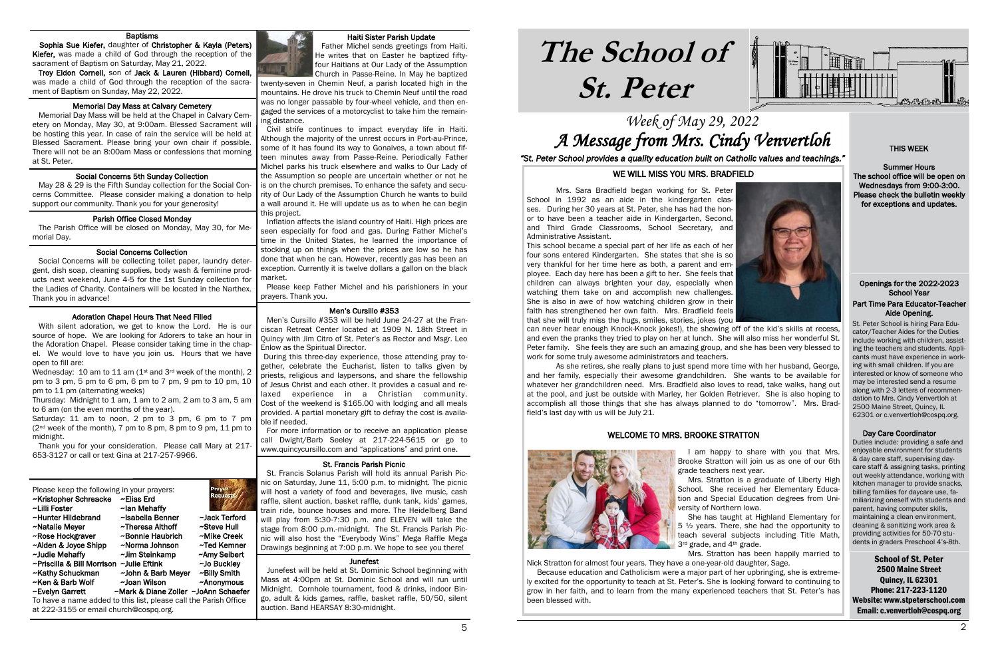# Week of May 29, 2022 A Message from Mrs. Cindy Venvertloh

# **The School of St. Peter**

School of St. Peter 2500 Maine Street Quincy, IL 62301 Phone: 217-223-1120 Website: www.stpeterschool.com Email: c.venvertloh@cospq.org





*"St. Peter School provides a quality education built on Catholic values and teachings."*

# Openings for the 2022-2023 School Year Part Time Para Educator-Teacher Aide Opening.

**Alue Operifig.**<br>-St. Peter School is hiring Para Edu cator/Teacher Aides for the Duties include working with children, assisting the teachers and students. Applicants must have experience in working with small children. If you are interested or know of someone who may be interested send a resume along with 2-3 letters of recommendation to Mrs. Cindy Venvertloh at 2500 Maine Street, Quincy, IL 62301 or c.venvertloh@cospq.org.

# Day Care Coordinator

Duties include: providing a safe and enjoyable environment for students & day care staff, supervising daycare staff & assigning tasks, printing out weekly attendance, working with kitchen manager to provide snacks, billing families for daycare use, familiarizing oneself with students and parent, having computer skills, maintaining a clean environment, cleaning & sanitizing work area & providing activities for 50-70 students in graders Preschool 4's-8th.

### Haiti Sister Parish Update

 Father Michel sends greetings from Haiti. He writes that on Easter he baptized fiftyfour Haitians at Our Lady of the Assumption Church in Passe-Reine. In May he baptized

twenty-seven in Chemin Neuf, a parish located high in the mountains. He drove his truck to Chemin Neuf until the road was no longer passable by four-wheel vehicle, and then engaged the services of a motorcyclist to take him the remaining distance.

#### Ï St. Francis Parish Picnic

 Civil strife continues to impact everyday life in Haiti. Although the majority of the unrest occurs in Port-au-Prince, some of it has found its way to Gonaives, a town about fifteen minutes away from Passe-Reine. Periodically Father Michel parks his truck elsewhere and walks to Our Lady of the Assumption so people are uncertain whether or not he is on the church premises. To enhance the safety and security of Our Lady of the Assumption Church he wants to build a wall around it. He will update us as to when he can begin this project.

#### í Memorial Day Mass at Calvary Cemetery

 Inflation affects the island country of Haiti. High prices are seen especially for food and gas. During Father Michel's time in the United States, he learned the importance of stocking up on things when the prices are low so he has done that when he can. However, recently gas has been an exception. Currently it is twelve dollars a gallon on the black market.

#### í Parish Office Closed Monday

 Please keep Father Michel and his parishioners in your prayers. Thank you.

#### í Social Concerns Collection

# Men's Cursillo #353

 Men's Cursillo #353 will be held June 24-27 at the Franciscan Retreat Center located at 1909 N. 18th Street in Quincy with Jim Citro of St. Peter's as Rector and Msgr. Leo Enlow as the Spiritual Director.

### I Adoration Chapel Hours That Need Filled

 During this three-day experience, those attending pray together, celebrate the Eucharist, listen to talks given by priests, religious and laypersons, and share the fellowship of Jesus Christ and each other. It provides a casual and relaxed experience in a Christian community. Cost of the weekend is \$165.00 with lodging and all meals provided. A partial monetary gift to defray the cost is available if needed.

 For more information or to receive an application please call Dwight/Barb Seeley at 217-224-5615 or go to www.quincycursillo.com and "applications" and print one.

 St. Francis Solanus Parish will hold its annual Parish Picnic on Saturday, June 11, 5:00 p.m. to midnight. The picnic will host a variety of food and beverages, live music, cash raffle, silent auction, basket raffle, dunk tank, kids' games, train ride, bounce houses and more. The Heidelberg Band will play from 5:30-7:30 p.m. and ELEVEN will take the stage from 8:00 p.m.-midnight. The St. Francis Parish Picnic will also host the "Everybody Wins" Mega Raffle Mega Drawings beginning at 7:00 p.m. We hope to see you there!

### Junefest

 Junefest will be held at St. Dominic School beginning with Mass at 4:00pm at St. Dominic School and will run until Midnight. Cornhole tournament, food & drinks, indoor Bingo, adult & kids games, raffle, basket raffle, 50/50, silent auction. Band HEARSAY 8:30-midnight.

### Baptisms

 Sophia Sue Kiefer, daughter of Christopher & Kayla (Peters) Kiefer, was made a child of God through the reception of the sacrament of Baptism on Saturday, May 21, 2022.

> versity of Northern Iowa. 3rd grade, and 4<sup>th</sup> grade.

 Troy Eldon Cornell, son of Jack & Lauren (Hibbard) Cornell, was made a child of God through the reception of the sacrament of Baptism on Sunday, May 22, 2022.

 Memorial Day Mass will be held at the Chapel in Calvary Cemetery on Monday, May 30, at 9:00am. Blessed Sacrament will be hosting this year. In case of rain the service will be held at Blessed Sacrament. Please bring your own chair if possible. There will not be an 8:00am Mass or confessions that morning at St. Peter.

# Social Concerns 5th Sunday Collection

 May 28 & 29 is the Fifth Sunday collection for the Social Concerns Committee. Please consider making a donation to help support our community. Thank you for your generosity!

 The Parish Office will be closed on Monday, May 30, for Memorial Day.

 Social Concerns will be collecting toilet paper, laundry detergent, dish soap, cleaning supplies, body wash & feminine products next weekend, June 4-5 for the 1st Sunday collection for the Ladies of Charity. Containers will be located in the Narthex. Thank you in advance!

 With silent adoration, we get to know the Lord. He is our source of hope. We are looking for Adorers to take an hour in the Adoration Chapel. Please consider taking time in the chapel. We would love to have you join us. Hours that we have open to fill are:

Wednesday: 10 am to 11 am (1st and 3rd week of the month), 2 pm to 3 pm, 5 pm to 6 pm, 6 pm to 7 pm, 9 pm to 10 pm, 10 pm to 11 pm (alternating weeks)

Thursday: Midnight to 1 am, 1 am to 2 am, 2 am to 3 am, 5 am to 6 am (on the even months of the year).

Saturday: 11 am to noon, 2 pm to 3 pm, 6 pm to 7 pm (2nd week of the month), 7 pm to 8 pm, 8 pm to 9 pm, 11 pm to midnight.

 Thank you for your consideration. Please call Mary at 217- 653-3127 or call or text Gina at 217-257-9966.

| Please keep the following in your prayers:<br>~Kristopher Schreacke<br>~Lilli Foster | ~Elias Erd<br>~lan Mehaffy           | Praye<br>Request |  |  |  |
|--------------------------------------------------------------------------------------|--------------------------------------|------------------|--|--|--|
| ~Hunter Hildebrand                                                                   | ~Isabella Benner                     | ~Jack Terford    |  |  |  |
| ~Natalie Meyer                                                                       | ~Theresa Althoff                     | ~Steve Hull      |  |  |  |
| ~Rose Hockgraver                                                                     | ~Bonnie Haubrich                     | ~Mike Creek      |  |  |  |
| ~Alden & Joyce Shipp                                                                 | ~Norma Johnson                       | ~Ted Kemner      |  |  |  |
| ~Judie Mehaffy                                                                       | ~Jim Steinkamp                       | ~Amy Seibert     |  |  |  |
| ~Priscilla & Bill Morrison ~Julie Eftink                                             |                                      | ~Jo Buckley      |  |  |  |
| ~Kathy Schuckman                                                                     | ~John & Barb Meyer                   | ~Billy Smith     |  |  |  |
| ~Ken & Barb Wolf                                                                     | ~Joan Wilson                         | ~Anonymous       |  |  |  |
| ~Evelyn Garrett                                                                      | ~Mark & Diane Zoller ~JoAnn Schaefer |                  |  |  |  |
| To have a name added to this list, please call the Parish Office                     |                                      |                  |  |  |  |
| at 222-3155 or email church@cospq.org.                                               |                                      |                  |  |  |  |



# THIS WEEK

Summer Hours The school office will be open on Wednesdays from 9:00-3:00. Please check the bulletin weekly for exceptions and updates.

# WE WILL MISS YOU MRS. BRADFIELD

Mrs. Sara Bradfield began working for St. Peter School in 1992 as an aide in the kindergarten classes. During her 30 years at St. Peter, she has had the honor to have been a teacher aide in Kindergarten, Second, and Third Grade Classrooms, School Secretary, and Administrative Assistant.

This school became a special part of her life as each of her four sons entered Kindergarten. She states that she is so very thankful for her time here as both, a parent and employee. Each day here has been a gift to her. She feels that children can always brighten your day, especially when watching them take on and accomplish new challenges. She is also in awe of how watching children grow in their faith has strengthened her own faith. Mrs. Bradfield feels that she will truly miss the hugs, smiles, stories, jokes (you can never hear enough Knock-Knock jokes!), the showing off of the kid's skills at recess, and even the pranks they tried to play on her at lunch. She will also miss her wonderful St. Peter family. She feels they are such an amazing group, and she has been very blessed to work for some truly awesome administrators and teachers.

As she retires, she really plans to just spend more time with her husband, George, and her family, especially their awesome grandchildren. She wants to be available for whatever her grandchildren need. Mrs. Bradfield also loves to read, take walks, hang out at the pool, and just be outside with Marley, her Golden Retriever. She is also hoping to accomplish all those things that she has always planned to do "tomorrow". Mrs. Bradfield's last day with us will be July 21.

# WELCOME TO MRS. BROOKE STRATTON



 I am happy to share with you that Mrs. Brooke Stratton will join us as one of our 6th

grade teachers next year.

 Mrs. Stratton is a graduate of Liberty High School. She received her Elementary Education and Special Education degrees from Uni-

 She has taught at Highland Elementary for 5 ½ years. There, she had the opportunity to teach several subjects including Title Math,

 Mrs. Stratton has been happily married to Nick Stratton for almost four years. They have a one-year-old daughter, Sage.

 Because education and Catholicism were a major part of her upbringing, she is extremely excited for the opportunity to teach at St. Peter's. She is looking forward to continuing to grow in her faith, and to learn from the many experienced teachers that St. Peter's has been blessed with.